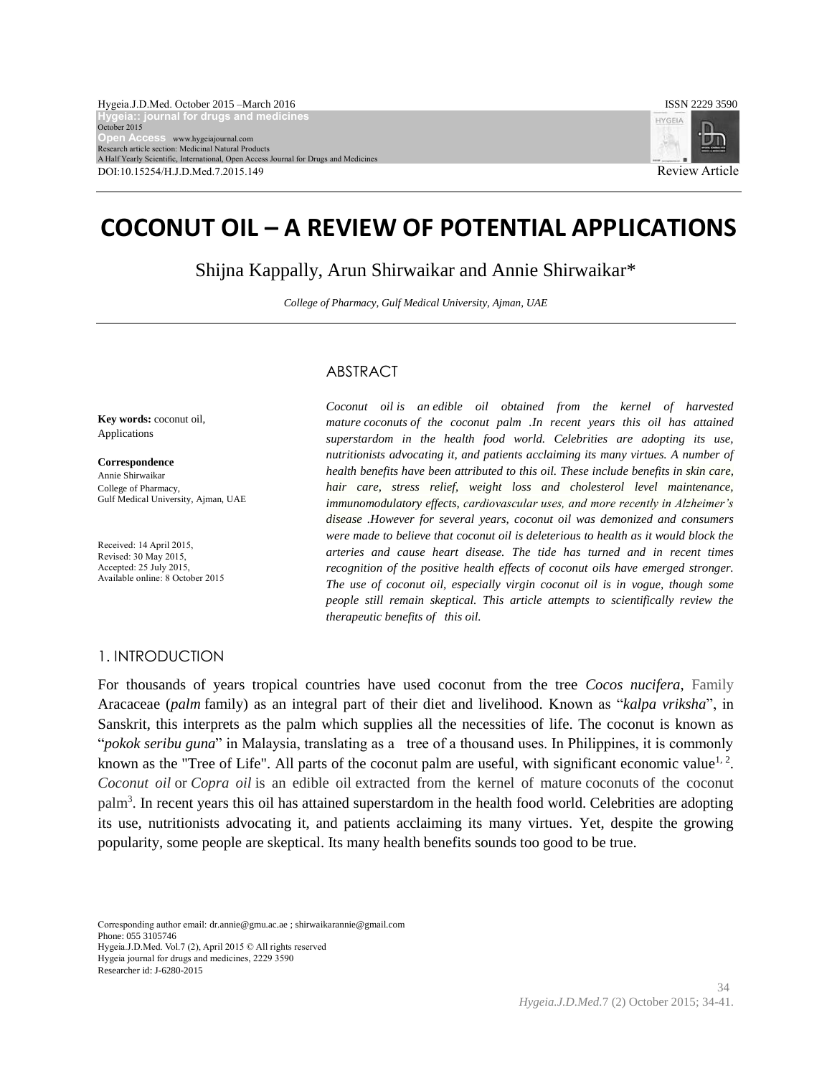

# **COCONUT OIL – A REVIEW OF POTENTIAL APPLICATIONS**

Shijna Kappally, Arun Shirwaikar and Annie Shirwaikar\*

*College of Pharmacy, Gulf Medical University, Ajman, UAE*

# ABSTRACT

**Key words:** coconut oil, Applications

**Correspondence** Annie Shirwaikar College of Pharmacy, Gulf Medical University, Ajman, UAE

Received: 14 April 2015, Revised: 30 May 2015, Accepted: 25 July 2015, Available online: 8 October 2015

*Coconut oil is an edible oil obtained from the kernel of harvested mature coconuts of the coconut palm .In recent years this oil has attained superstardom in the health food world. Celebrities are adopting its use, nutritionists advocating it, and patients acclaiming its many virtues. A number of health benefits have been attributed to this oil. These include benefits in skin care, hair care, stress relief, weight loss and cholesterol level maintenance, immunomodulatory effects, cardiovascular uses, and more recently in Alzheimer's disease .However for several years, coconut oil was demonized and consumers were made to believe that coconut oil is deleterious to health as it would block the arteries and cause heart disease. The tide has turned and in recent times recognition of the positive health effects of coconut oils have emerged stronger. The use of coconut oil, especially virgin coconut oil is in vogue, though some people still remain skeptical. This article attempts to scientifically review the therapeutic benefits of this oil.* 

# 1. INTRODUCTION

For thousands of years tropical countries have used coconut from the tree *Cocos nucifera*, Family Aracaceae (*palm* family) as an integral part of their diet and livelihood. Known as "*kalpa vriksha*", in Sanskrit, this interprets as the palm which supplies all the necessities of life. The coconut is known as "*pokok seribu guna*" in Malaysia, translating as a tree of a thousand uses. In Philippines, it is commonly known as the "Tree of Life". All parts of the coconut palm are useful, with significant economic value<sup>1, 2</sup>. *Coconut oil* or *Copra oil* is an edible oil extracted from the kernel of mature coconuts of the coconut palm<sup>3</sup>. In recent years this oil has attained superstardom in the health food world. Celebrities are adopting its use, nutritionists advocating it, and patients acclaiming its many virtues. Yet, despite the growing popularity, some people are skeptical. Its many health benefits sounds too good to be true.

Corresponding author email: [dr.annie@gmu.ac.ae](mailto:dr.annie@gmu.ac.ae) [; shirwaikarannie@gmail.com](mailto:shirwaikarannie@gmail.com) Phone: 055 3105746 Hygeia.J.D.Med. Vol.7 (2), April 2015 © All rights reserved Hygeia journal for drugs and medicines, 2229 3590 [Researcher id: J-6280-2015](http://www.researcherid.com/rid/J-6280-2015)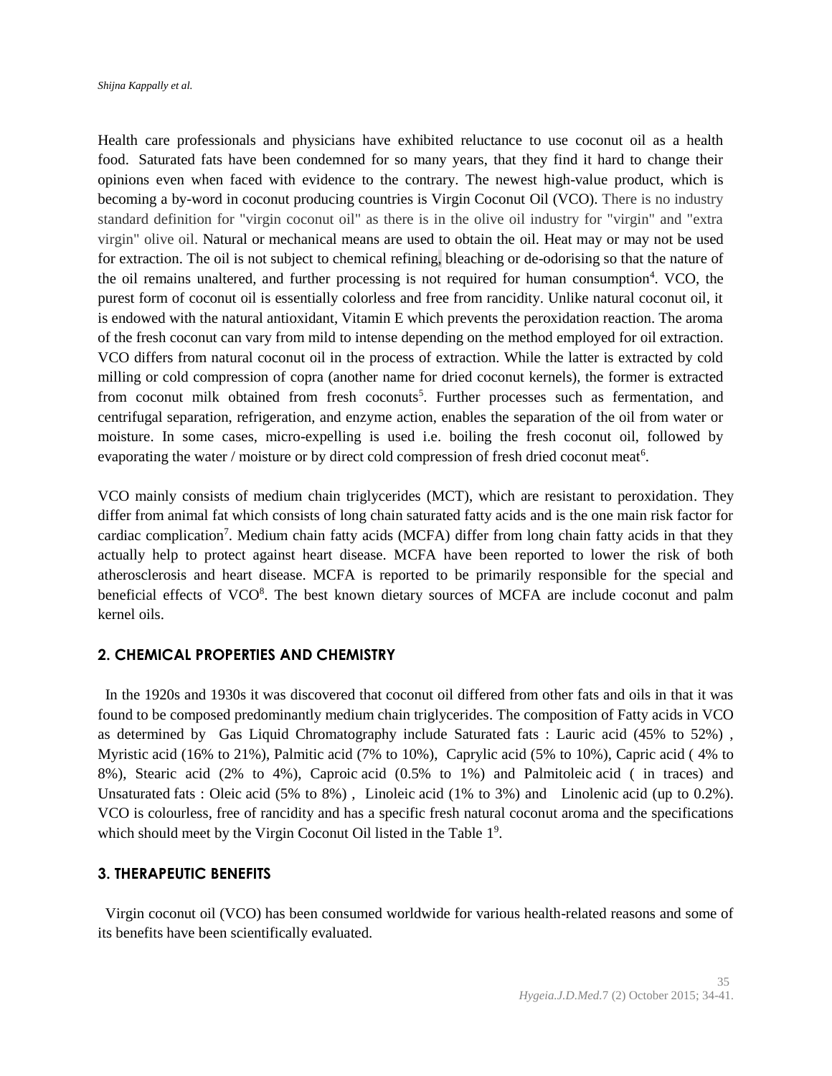Health care professionals and physicians have exhibited reluctance to use coconut oil as a health food. Saturated fats have been condemned for so many years, that they find it hard to change their opinions even when faced with evidence to the contrary. The newest high-value product, which is becoming a by-word in coconut producing countries is Virgin Coconut Oil (VCO). There is no industry standard definition for "virgin coconut oil" as there is in the olive oil industry for "virgin" and "extra virgin" olive oil. Natural or mechanical means are used to obtain the oil. Heat may or may not be used for extraction. The oil is not subject to chemical refining, bleaching or de-odorising so that the nature of the oil remains unaltered, and further processing is not required for human consumption<sup>4</sup>. VCO, the purest form of coconut oil is essentially colorless and free from rancidity. Unlike natural coconut oil, it is endowed with the natural antioxidant, Vitamin E which prevents the peroxidation reaction. The aroma of the fresh coconut can vary from mild to intense depending on the method employed for oil extraction. VCO differs from natural coconut oil in the process of extraction. While the latter is extracted by cold milling or cold compression of copra (another name for dried coconut kernels), the former is extracted from coconut milk obtained from fresh coconuts<sup>5</sup>. Further processes such as fermentation, and centrifugal separation, refrigeration, and enzyme action, enables the separation of the oil from water or moisture. In some cases, micro-expelling is used i.e. boiling the fresh coconut oil, followed by evaporating the water / moisture or by direct cold compression of fresh dried coconut meat<sup>6</sup>.

VCO mainly consists of medium chain triglycerides (MCT), which are resistant to peroxidation. They differ from animal fat which consists of long chain saturated fatty acids and is the one main risk factor for cardiac complication<sup>7</sup>. Medium chain fatty acids (MCFA) differ from long chain fatty acids in that they actually help to protect against heart disease. MCFA have been reported to lower the risk of both atherosclerosis and heart disease. MCFA is reported to be primarily responsible for the special and beneficial effects of VCO<sup>8</sup>. The best known dietary sources of MCFA are include coconut and palm kernel oils.

# **2. CHEMICAL PROPERTIES AND CHEMISTRY**

 In the 1920s and 1930s it was discovered that coconut oil differed from other fats and oils in that it was found to be composed predominantly medium chain triglycerides. The composition of Fatty acids in VCO as determined by Gas Liquid Chromatography include Saturated fats : Lauric acid (45% to 52%) , Myristic acid (16% to 21%), Palmitic acid (7% to 10%), Caprylic acid (5% to 10%), Capric acid ( 4% to 8%), Stearic acid (2% to 4%), Caproic acid (0.5% to 1%) and Palmitoleic acid ( in traces) and Unsaturated fats : Oleic acid (5% to 8%) , Linoleic acid (1% to 3%) and Linolenic acid (up to 0.2%). VCO is colourless, free of rancidity and has a specific fresh natural coconut aroma and the specifications which should meet by the Virgin Coconut Oil listed in the Table 1<sup>9</sup>.

# **3. THERAPEUTIC BENEFITS**

 Virgin coconut oil (VCO) has been consumed worldwide for various health-related reasons and some of its benefits have been scientifically evaluated.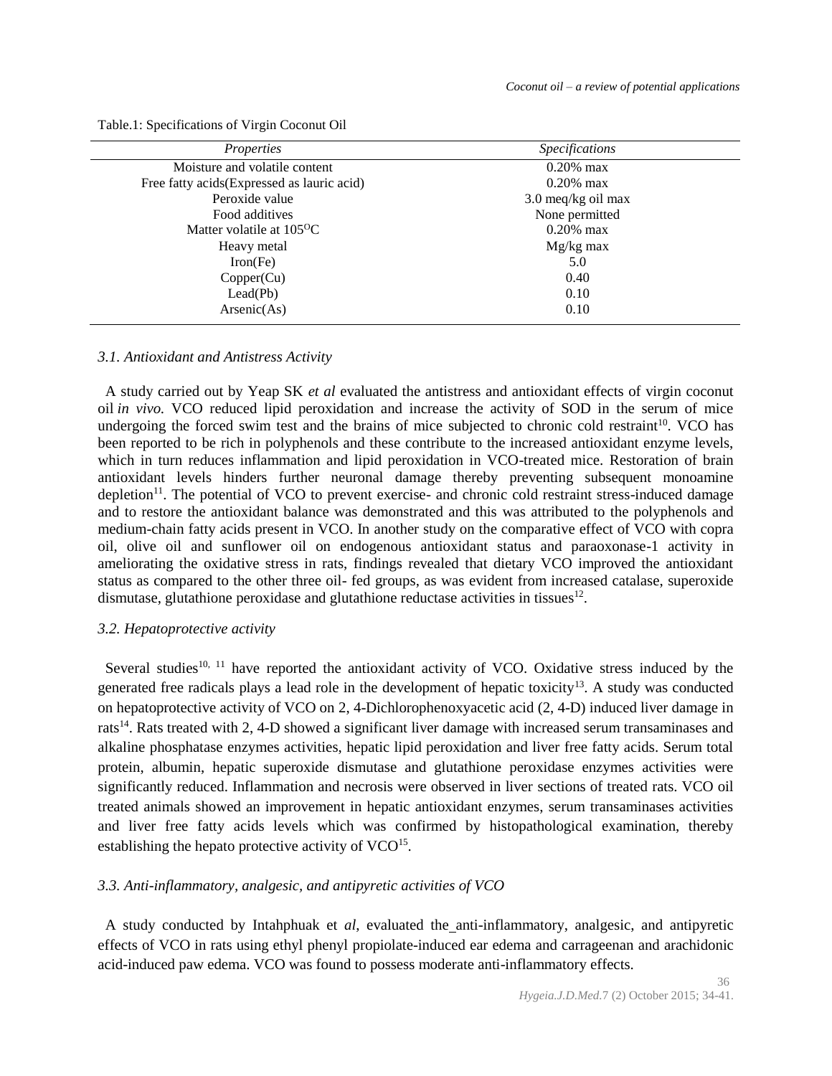| <i>Properties</i>                           | <i>Specifications</i> |
|---------------------------------------------|-----------------------|
| Moisture and volatile content               | $0.20\%$ max          |
| Free fatty acids (Expressed as lauric acid) | $0.20\%$ max          |
| Peroxide value                              | 3.0 meq/kg oil max    |
| Food additives                              | None permitted        |
| Matter volatile at $105^{\circ}$ C          | $0.20\%$ max          |
| Heavy metal                                 | $Mg/kg$ max           |
| Iron(Fe)                                    | 5.0                   |
| Copper(Cu)                                  | 0.40                  |
| LeaderPb)                                   | 0.10                  |
| Arsenic(As)                                 | 0.10                  |

Table.1: Specifications of Virgin Coconut Oil

#### *3.1. Antioxidant and Antistress Activity*

 A study carried out by Yeap SK *et al* evaluated the antistress and antioxidant effects of virgin coconut oil *in vivo.* VCO reduced lipid peroxidation and increase the activity of SOD in the serum of mice undergoing the forced swim test and the brains of mice subjected to chronic cold restraint<sup>10</sup>. VCO has been reported to be rich in polyphenols and these contribute to the increased antioxidant enzyme levels, which in turn reduces inflammation and lipid peroxidation in VCO-treated mice. Restoration of brain antioxidant levels hinders further neuronal damage thereby preventing subsequent monoamine depletion<sup>11</sup>. The potential of VCO to prevent exercise- and chronic cold restraint stress-induced damage and to restore the antioxidant balance was demonstrated and this was attributed to the polyphenols and medium-chain fatty acids present in VCO. In another study on the comparative effect of VCO with copra oil, olive oil and sunflower oil on endogenous antioxidant status and paraoxonase-1 activity in ameliorating the oxidative stress in rats, findings revealed that dietary VCO improved the antioxidant status as compared to the other three oil- fed groups, as was evident from increased catalase, superoxide dismutase, glutathione peroxidase and glutathione reductase activities in tissues $^{12}$ .

# *3.2. Hepatoprotective activity*

Several studies<sup>10, 11</sup> have reported the antioxidant activity of VCO. Oxidative stress induced by the generated free radicals plays a lead role in the development of hepatic toxicity<sup>13</sup>. A study was conducted on hepatoprotective activity of VCO on 2, 4-Dichlorophenoxyacetic acid (2, 4-D) induced liver damage in rats<sup>14</sup>. Rats treated with 2, 4-D showed a significant liver damage with increased serum transaminases and alkaline phosphatase enzymes activities, hepatic lipid peroxidation and liver free fatty acids. Serum total protein, albumin, hepatic superoxide dismutase and glutathione peroxidase enzymes activities were significantly reduced. Inflammation and necrosis were observed in liver sections of treated rats. VCO oil treated animals showed an improvement in hepatic antioxidant enzymes, serum transaminases activities and liver free fatty acids levels which was confirmed by histopathological examination, thereby establishing the hepato protective activity of VCO<sup>15</sup>.

# *3.3. Anti-inflammatory, analgesic, and antipyretic activities of VCO*

 A study conducted by Intahphuak et *al*, evaluated the anti-inflammatory, analgesic, and antipyretic effects of VCO in rats using ethyl phenyl propiolate-induced ear edema and carrageenan and arachidonic acid-induced paw edema. VCO was found to possess moderate anti-inflammatory effects.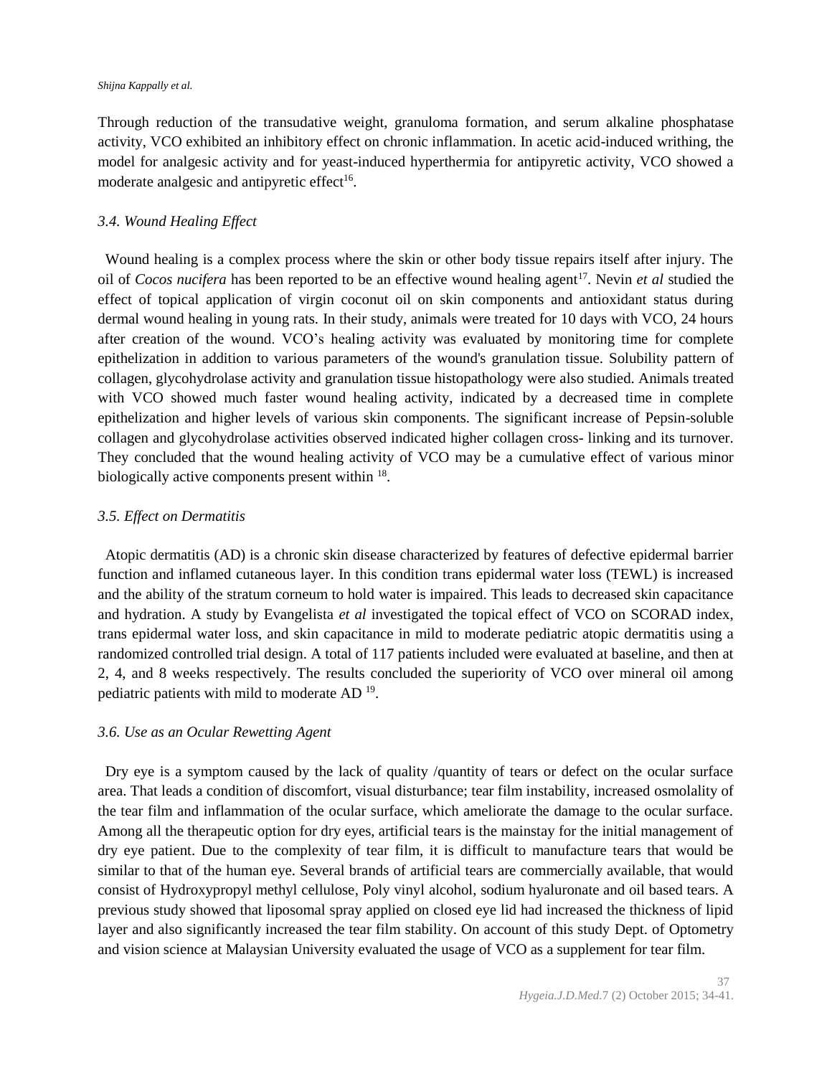#### *Shijna Kappally et al.*

Through reduction of the transudative weight, granuloma formation, and serum alkaline phosphatase activity, VCO exhibited an inhibitory effect on chronic inflammation. In acetic acid-induced writhing, the model for analgesic activity and for yeast-induced hyperthermia for antipyretic activity, VCO showed a moderate analgesic and antipyretic effect<sup>16</sup>.

# *3.4. Wound Healing Effect*

 Wound healing is a complex process where the skin or other body tissue repairs itself after injury. The oil of *Cocos nucifera* has been reported to be an effective wound healing agent<sup>17</sup>. Nevin *et al* studied the effect of topical application of virgin coconut oil on skin components and antioxidant status during dermal wound healing in young rats*.* In their study, animals were treated for 10 days with VCO, 24 hours after creation of the wound. VCO's healing activity was evaluated by monitoring time for complete epithelization in addition to various parameters of the wound's granulation tissue. Solubility pattern of collagen, glycohydrolase activity and granulation tissue histopathology were also studied. Animals treated with VCO showed much faster wound healing activity, indicated by a decreased time in complete epithelization and higher levels of various skin components. The significant increase of Pepsin-soluble collagen and glycohydrolase activities observed indicated higher collagen cross- linking and its turnover. They concluded that the wound healing activity of VCO may be a cumulative effect of various minor biologically active components present within <sup>18</sup>.

# *3.5. Effect on Dermatitis*

 Atopic dermatitis (AD) is a chronic skin disease characterized by features of defective epidermal barrier function and inflamed cutaneous layer. In this condition trans epidermal water loss (TEWL) is increased and the ability of the stratum corneum to hold water is impaired. This leads to decreased skin capacitance and hydration. A study by Evangelista *et al* investigated the topical effect of VCO on SCORAD index, trans epidermal water loss, and skin capacitance in mild to moderate pediatric atopic dermatitis using a randomized controlled trial design. A total of 117 patients included were evaluated at baseline, and then at 2, 4, and 8 weeks respectively. The results concluded the superiority of VCO over mineral oil among pediatric patients with mild to moderate AD<sup>19</sup>.

# *3.6. Use as an Ocular Rewetting Agent*

 Dry eye is a symptom caused by the lack of quality /quantity of tears or defect on the ocular surface area. That leads a condition of discomfort, visual disturbance; tear film instability, increased osmolality of the tear film and inflammation of the ocular surface, which ameliorate the damage to the ocular surface. Among all the therapeutic option for dry eyes, artificial tears is the mainstay for the initial management of dry eye patient. Due to the complexity of tear film, it is difficult to manufacture tears that would be similar to that of the human eye. Several brands of artificial tears are commercially available, that would consist of Hydroxypropyl methyl cellulose, Poly vinyl alcohol, sodium hyaluronate and oil based tears. A previous study showed that liposomal spray applied on closed eye lid had increased the thickness of lipid layer and also significantly increased the tear film stability. On account of this study Dept. of Optometry and vision science at Malaysian University evaluated the usage of VCO as a supplement for tear film.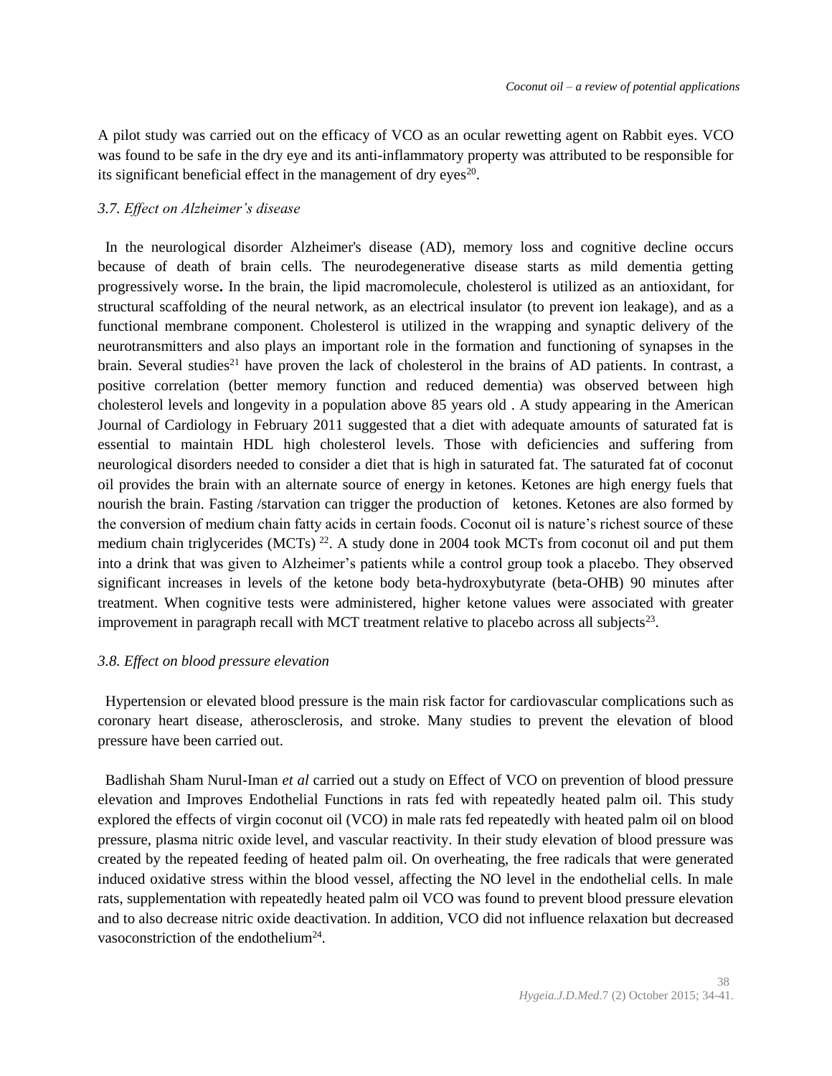A pilot study was carried out on the efficacy of VCO as an ocular rewetting agent on Rabbit eyes. VCO was found to be safe in the dry eye and its anti-inflammatory property was attributed to be responsible for its significant beneficial effect in the management of dry eyes $20$ .

### *3.7. Effect on Alzheimer's disease*

 In the neurological disorder Alzheimer's disease (AD), memory loss and cognitive decline occurs because of death of brain cells. The neurodegenerative disease starts as mild dementia getting progressively worse**.** In the brain, the lipid macromolecule, cholesterol is utilized as an antioxidant, for structural scaffolding of the neural network, as an electrical insulator (to prevent ion leakage), and as a functional membrane component. Cholesterol is utilized in the wrapping and synaptic delivery of the neurotransmitters and also plays an important role in the formation and functioning of synapses in the brain. Several studies<sup>21</sup> have proven the lack of cholesterol in the brains of AD patients. In contrast, a positive correlation (better memory function and reduced dementia) was observed between high cholesterol levels and longevity in a population above [85 years old](http://www.ncbi.nlm.nih.gov/pubmed/21296318) . A study appearing in the American Journal of Cardiology in February 2011 suggested that a diet with adequate amounts of saturated fat is essential to maintain HDL high cholesterol levels. Those with deficiencies and suffering from neurological disorders needed to consider a diet that is high in saturated fat. The saturated fat of coconut oil provides the brain with an alternate source of energy in ketones. Ketones are high energy fuels that nourish the brain. Fasting /starvation can trigger the production of ketones. Ketones are also formed by the conversion of medium chain fatty acids in certain foods. Coconut oil is nature's richest source of these medium chain triglycerides (MCTs)<sup>22</sup>. A study done in 2004 took MCTs from coconut oil and put them into a drink that was given to Alzheimer's patients while a control group took a placebo. They observed significant increases in levels of the ketone body beta-hydroxybutyrate (beta-OHB) 90 minutes after treatment. When cognitive tests were administered, higher ketone values were associated with greater improvement in paragraph recall with MCT treatment relative to placebo across all subjects<sup>23</sup>.

#### *3.8. Effect on blood pressure elevation*

 Hypertension or elevated blood pressure is the main risk factor for cardiovascular complications such as coronary heart disease, atherosclerosis, and stroke. Many studies to prevent the elevation of blood pressure have been carried out.

 Badlishah Sham Nurul-Iman *et al* carried out a study on Effect of VCO on prevention of blood pressure elevation and Improves Endothelial Functions in rats fed with repeatedly heated palm oil. This study explored the effects of virgin coconut oil (VCO) in male rats fed repeatedly with heated palm oil on blood pressure, plasma nitric oxide level, and vascular reactivity. In their study elevation of blood pressure was created by the repeated feeding of heated palm oil. On overheating, the free radicals that were generated induced oxidative stress within the blood vessel, affecting the NO level in the endothelial cells. In male rats, supplementation with repeatedly heated palm oil VCO was found to prevent blood pressure elevation and to also decrease nitric oxide deactivation. In addition, VCO did not influence relaxation but decreased vasoconstriction of the endothelium<sup>24</sup>.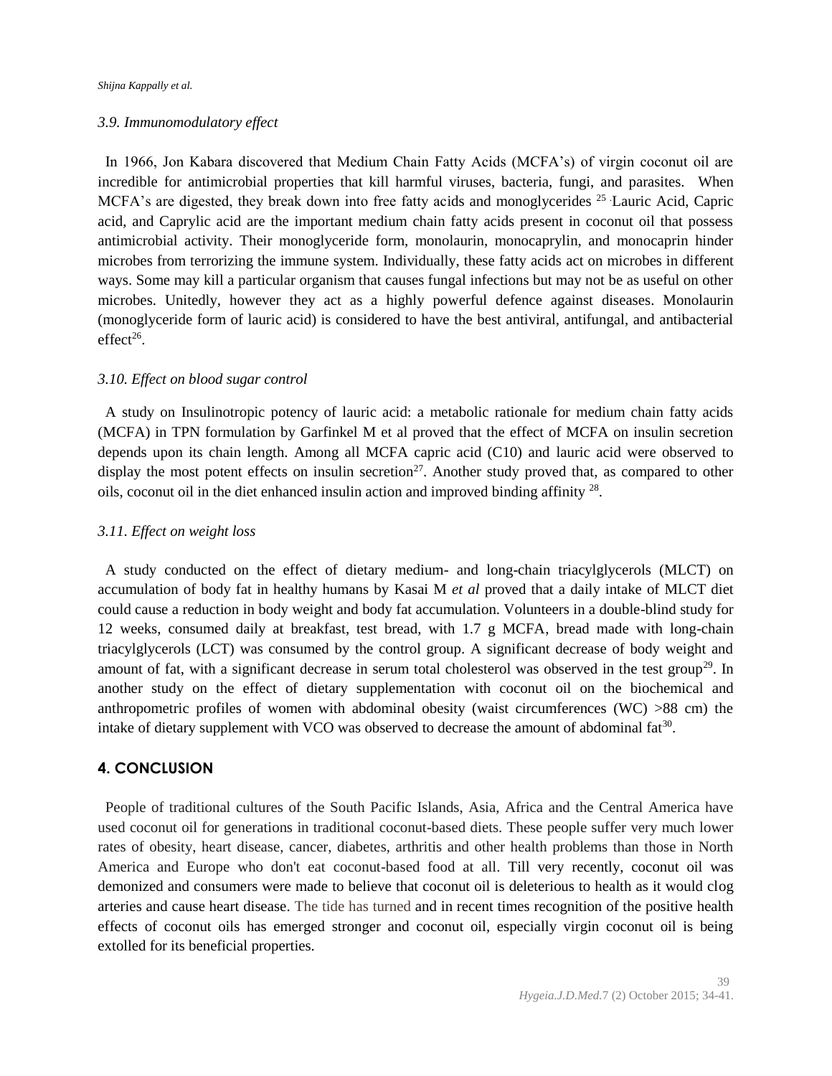#### *3.9. Immunomodulatory effect*

 In 1966, Jon Kabara discovered that Medium Chain Fatty Acids (MCFA's) of virgin coconut oil are incredible for antimicrobial properties that kill harmful viruses, bacteria, fungi, and parasites. When MCFA's are digested, they break down into free fatty acids and monoglycerides <sup>25</sup> Lauric Acid, Capric acid, and Caprylic acid are the important medium chain fatty acids present in coconut oil that possess antimicrobial activity. Their monoglyceride form, monolaurin, monocaprylin, and monocaprin hinder microbes from terrorizing the immune system. Individually, these fatty acids act on microbes in different ways. Some may kill a particular organism that causes fungal infections but may not be as useful on other microbes. Unitedly, however they act as a highly powerful defence against diseases. Monolaurin (monoglyceride form of lauric acid) is considered to have the best antiviral, antifungal, and antibacterial  $effect<sup>26</sup>$ .

# *3.10. Effect on blood sugar control*

 A study on Insulinotropic potency of lauric acid: a metabolic rationale for medium chain fatty acids (MCFA) in TPN formulation by Garfinkel M et al proved that the effect of MCFA on insulin secretion depends upon its chain length. Among all MCFA capric acid (C10) and lauric acid were observed to display the most potent effects on insulin secretion<sup>27</sup>. Another study proved that, as compared to other oils, coconut oil in the diet enhanced insulin action and improved binding affinity  $^{28}$ .

### *3.11. Effect on weight loss*

 A study conducted on the effect of dietary medium- and long-chain triacylglycerols (MLCT) on accumulation of body fat in healthy humans by [Kasai M](http://www.ncbi.nlm.nih.gov/pubmed/?term=Kasai%20M%5BAuthor%5D&cauthor=true&cauthor_uid=12810404) *et al* proved that a daily intake of MLCT diet could cause a reduction in body weight and body fat accumulation. Volunteers in a double-blind study for 12 weeks, consumed daily at breakfast, test bread, with 1.7 g MCFA, bread made with long-chain triacylglycerols (LCT) was consumed by the control group. A significant decrease of body weight and amount of fat, with a significant decrease in serum total cholesterol was observed in the test group<sup>29</sup>. In another study on the effect of dietary supplementation with coconut oil on the biochemical and anthropometric profiles of women with abdominal obesity (waist circumferences (WC) >88 cm) the intake of dietary supplement with VCO was observed to decrease the amount of abdominal fat<sup>30</sup>.

# **4. CONCLUSION**

 People of traditional cultures of the South Pacific Islands, Asia, Africa and the Central America have used coconut oil for generations in traditional coconut-based diets. These people suffer very much lower rates of obesity, heart disease, cancer, diabetes, arthritis and other health problems than those in North America and Europe who don't eat coconut-based food at all. Till very recently, coconut oil was demonized and consumers were made to believe that coconut oil is deleterious to health as it would clog arteries and cause heart disease. The tide has turned and in recent times recognition of the positive health effects of coconut oils has emerged stronger and coconut oil, especially virgin coconut oil is being extolled for its beneficial properties.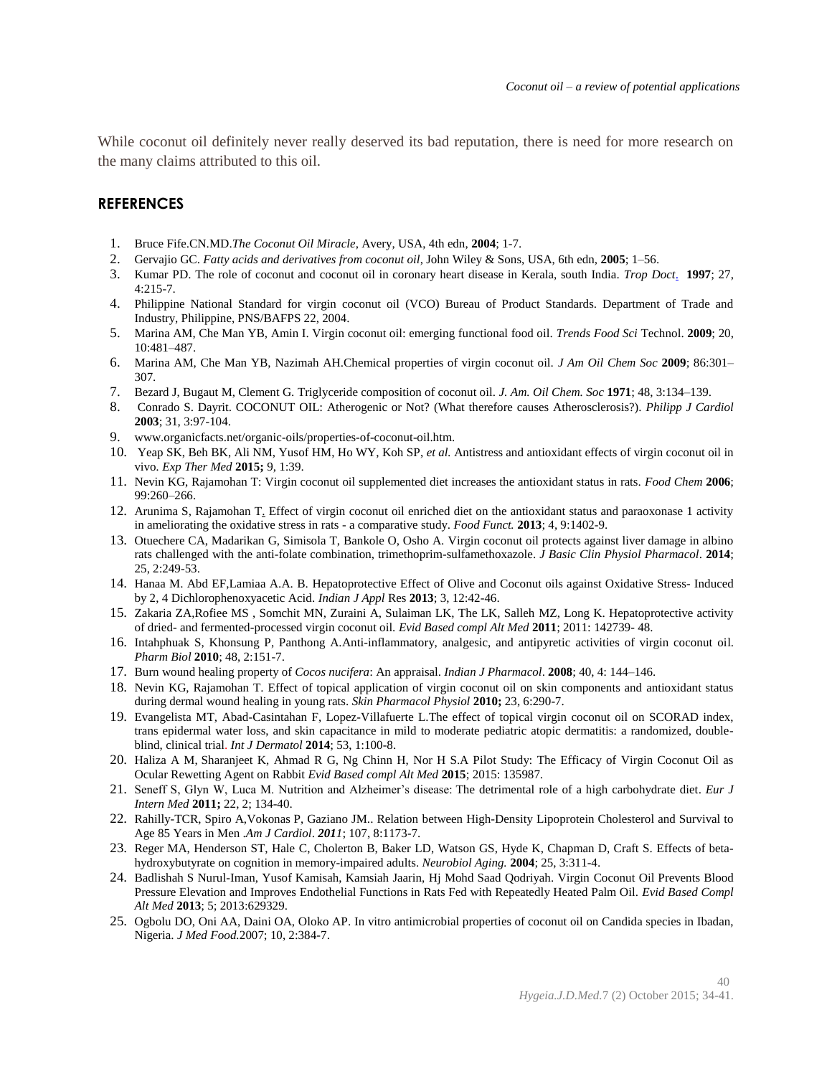While coconut oil definitely never really deserved its bad reputation, there is need for more research on the many claims attributed to this oil.

# **REFERENCES**

- 1. Bruce Fife.CN.MD.*The Coconut Oil Miracle*, Avery, USA, 4th edn, **2004**; 1-7.
- 2. Gervajio GC. *Fatty acids and derivatives from coconut oil*, John Wiley & Sons, USA, 6th edn, **2005**; 1–56.
- 3. [Kumar](http://www.ncbi.nlm.nih.gov/pubmed/?term=Kumar%20PD%5BAuthor%5D&cauthor=true&cauthor_uid=9316363) PD. The role of coconut and coconut oil in coronary heart disease in Kerala, south India. *[Trop Doct](http://www.ncbi.nlm.nih.gov/pubmed/9316363)*. **1997**; 27, 4:215-7.
- 4. Philippine National Standard for virgin coconut oil (VCO) Bureau of Product Standards. Department of Trade and Industry, Philippine, PNS/BAFPS 22, 2004.
- 5. Marina AM, Che Man YB, Amin I. Virgin coconut oil: emerging functional food oil. *Trends Food Sci* Technol. **2009**; 20, 10:481–487.
- 6. Marina AM, Che Man YB, Nazimah AH.Chemical properties of virgin coconut oil. *J Am Oil Chem Soc* **2009**; 86:301– 307.
- 7. Bezard J, Bugaut M, Clement G. Triglyceride composition of coconut oil. *J. Am. Oil Chem. Soc* **1971**; 48, 3:134–139.
- 8. Conrado S. Dayrit. COCONUT OIL: Atherogenic or Not? (What therefore causes Atherosclerosis?). *Philipp J Cardiol*  **2003**; 31, 3:97-104.
- 9. www.organicfacts.net/organic-oils/properties-of-coconut-oil.htm.
- 10. Yeap SK[, Beh](http://www.ncbi.nlm.nih.gov/pubmed/?term=BEH%20BK%5Bauth%5D) BK, Ali NM, Yusof HM, Ho WY, Koh SP, *et al.* Antistress and antioxidant effects of virgin coconut oil in vivo*. Exp Ther Med* **2015;** 9, 1:39.
- 11. Nevin KG, Rajamohan T: Virgin coconut oil supplemented diet increases the antioxidant status in rats. *Food Chem* **2006**; 99:260–266.
- 12. Arunima S, Rajamohan T. Effect of virgin coconut oil enriched diet on the antioxidant status and paraoxonase 1 activity in ameliorating the oxidative stress in rats - a comparative study. *[Food Funct.](http://www.ncbi.nlm.nih.gov/pubmed/23892389)* **2013**; 4, 9:1402-9.
- 13. Otuechere CA, Madarikan G, Simisola T, Bankole O, Osho A. Virgin coconut oil protects against liver damage in albino rats challenged with the anti-folate combination, trimethoprim-sulfamethoxazole. *[J Basic Clin Physiol Pharmacol](http://www.ncbi.nlm.nih.gov/pubmed/24285126)*. **2014**; 25, 2:249-53.
- 14. Hanaa M. Abd EF,Lamiaa A.A. B. Hepatoprotective Effect of Olive and Coconut oils against Oxidative Stress- Induced by 2, 4 Dichlorophenoxyacetic Acid. *Indian J Appl* Res **2013**; 3, 12:42-46.
- 15. Zakaria ZA,Rofiee MS , Somchit MN, Zuraini A, Sulaiman LK, The LK, Salleh MZ, Long K. Hepatoprotective activity of dried- and fermented-processed virgin coconut oil. *Evid Based compl Alt Med* **2011**; 2011: 142739- 48.
- 16. Intahphuak S, Khonsung P, Panthong A.Anti-inflammatory, analgesic, and antipyretic activities of virgin coconut oil. *[Pharm Biol](http://www.ncbi.nlm.nih.gov/pubmed/20645831)* **2010**; 48, 2:151-7.
- 17. Burn wound healing property of *Cocos nucifera*: An appraisal. *Indian J Pharmacol*. **2008**; 40, 4: 144–146.
- 18. Nevin KG, Rajamohan T. Effect of topical application of virgin coconut oil on skin components and antioxidant status during dermal wound healing in young rats. *Skin Pharmacol Physiol* **2010;** 23, 6:290-7.
- 19. Evangelista MT, Abad-Casintahan F, Lopez-Villafuerte L.The effect of topical virgin coconut oil on SCORAD index, trans epidermal water loss, and skin capacitance in mild to moderate pediatric atopic dermatitis: a randomized, doubleblind, clinical trial. *[Int J Dermatol](http://www.ncbi.nlm.nih.gov/pubmed/24320105)* **2014**; 53, 1:100-8.
- 20. Haliza A M, Sharanjeet K, Ahmad R G, Ng Chinn H, [Nor H S.A](http://www.ncbi.nlm.nih.gov/pubmed/?term=Safie%20NH%5Bauth%5D) Pilot Study: The Efficacy of Virgin Coconut Oil as Ocular Rewetting Agent on Rabbit *Evid Based compl Alt Med* **2015**; 2015: 135987.
- 21. Seneff S, Glyn W, Luca M. Nutrition and Alzheimer's disease: [The detrimental role of a high carbohydrate diet.](http://www.lizscript.co.uk/glyn/EJIM01.pdf) *Eur J Intern Med* **2011;** 22, 2; 134-40.
- 22. Rahilly-TCR, Spiro A,Vokonas P, Gaziano JM.. Relation between High-Density Lipoprotein Cholesterol and Survival to Age 85 Years in Men .*Am J Cardiol*. *2011*; 107, 8:1173-7.
- 23. Reger MA, Henderson ST, [Hale C,](http://www.ncbi.nlm.nih.gov/pubmed/?term=Hale%20C%5BAuthor%5D&cauthor=true&cauthor_uid=15123336) Cholerton B, [Baker LD,](http://www.ncbi.nlm.nih.gov/pubmed/?term=Baker%20LD%5BAuthor%5D&cauthor=true&cauthor_uid=15123336) Watson GS, Hyde K, Chapman D, Craft S. Effects of betahydroxybutyrate on cognition in memory-impaired adults. *[Neurobiol Aging.](http://www.ncbi.nlm.nih.gov/pubmed?term=Neurobiol%20Aging.%202004%20Mar;25%283%29:311-4)* **2004**; 25, 3:311-4.
- 24. Badlishah S Nurul-Iman, Yusof Kamisah, Kamsiah Jaarin, Hj Mohd Saad Qodriyah. Virgin Coconut Oil Prevents Blood Pressure Elevation and Improves Endothelial Functions in Rats Fed with Repeatedly Heated Palm Oil. *Evid Based Compl Alt Med* **2013**; 5; 2013:629329.
- 25. Ogbolu DO, Oni AA, Daini OA, Oloko AP. In vitro antimicrobial properties of coconut oil on Candida species in Ibadan, Nigeria. *[J Med Food.](http://www.ncbi.nlm.nih.gov/pubmed?Db=pubmed&Cmd=ShowDetailView&TermToSearch=17651080&ordinalpos=1&itool=EntrezSystem2.PEntrez.Pubmed.Pubmed_ResultsPanel.Pubmed_RVDocSum)*2007; 10, 2:384-7.